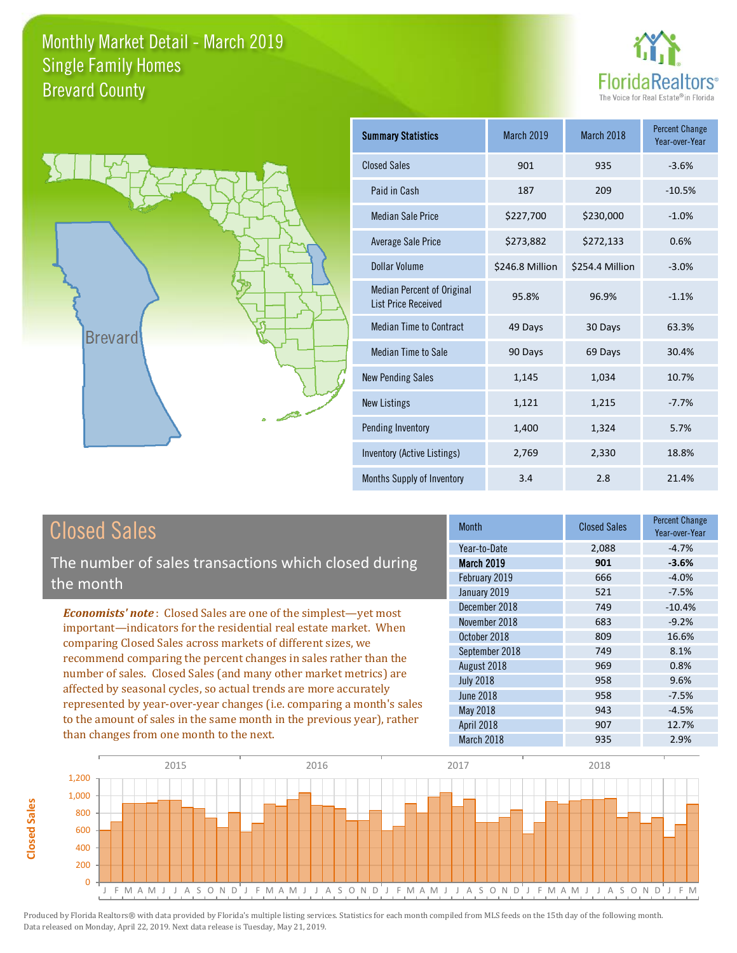



| <b>Summary Statistics</b>                                       | March 2019      | March 2018      | <b>Percent Change</b><br>Year-over-Year |
|-----------------------------------------------------------------|-----------------|-----------------|-----------------------------------------|
| <b>Closed Sales</b>                                             | 901             | 935             | $-3.6%$                                 |
| Paid in Cash                                                    | 187             | 209             | $-10.5%$                                |
| <b>Median Sale Price</b>                                        | \$227,700       | \$230,000       | $-1.0%$                                 |
| Average Sale Price                                              | \$273,882       | \$272,133       | 0.6%                                    |
| Dollar Volume                                                   | \$246.8 Million | \$254.4 Million | $-3.0%$                                 |
| <b>Median Percent of Original</b><br><b>List Price Received</b> | 95.8%           | 96.9%           | $-1.1%$                                 |
| <b>Median Time to Contract</b>                                  | 49 Days         | 30 Days         | 63.3%                                   |
| <b>Median Time to Sale</b>                                      | 90 Days         | 69 Days         | 30.4%                                   |
| <b>New Pending Sales</b>                                        | 1,145           | 1,034           | 10.7%                                   |
| <b>New Listings</b>                                             | 1,121           | 1,215           | $-7.7%$                                 |
| Pending Inventory                                               | 1,400           | 1,324           | 5.7%                                    |
| Inventory (Active Listings)                                     | 2,769           | 2,330           | 18.8%                                   |
| Months Supply of Inventory                                      | 3.4             | 2.8             | 21.4%                                   |

| Closed Sales                                         |
|------------------------------------------------------|
| The number of sales transactions which closed during |
| the month                                            |

*Economists' note* : Closed Sales are one of the simplest—yet most important—indicators for the residential real estate market. When comparing Closed Sales across markets of different sizes, we recommend comparing the percent changes in sales rather than the number of sales. Closed Sales (and many other market metrics) are affected by seasonal cycles, so actual trends are more accurately represented by year-over-year changes (i.e. comparing a month's sales to the amount of sales in the same month in the previous year), rather than changes from one month to the next.

| Month             | <b>Closed Sales</b> | <b>Percent Change</b><br>Year-over-Year |
|-------------------|---------------------|-----------------------------------------|
| Year-to-Date      | 2,088               | $-4.7%$                                 |
| <b>March 2019</b> | 901                 | $-3.6%$                                 |
| February 2019     | 666                 | $-4.0%$                                 |
| January 2019      | 521                 | $-7.5%$                                 |
| December 2018     | 749                 | $-10.4%$                                |
| November 2018     | 683                 | $-9.2%$                                 |
| October 2018      | 809                 | 16.6%                                   |
| September 2018    | 749                 | 8.1%                                    |
| August 2018       | 969                 | 0.8%                                    |
| <b>July 2018</b>  | 958                 | 9.6%                                    |
| <b>June 2018</b>  | 958                 | $-7.5%$                                 |
| May 2018          | 943                 | $-4.5%$                                 |
| April 2018        | 907                 | 12.7%                                   |
| March 2018        | 935                 | 2.9%                                    |

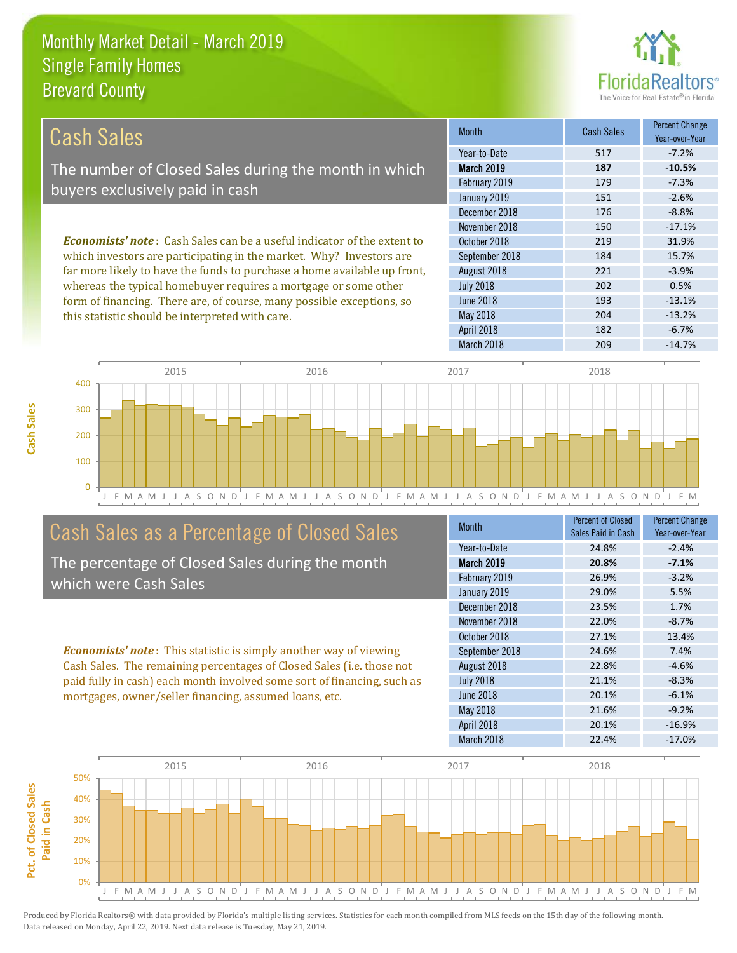this statistic should be interpreted with care.



204 -13.2%

| Cash Sales                                                                     | <b>Month</b>      | Cash Sales | <b>Percent Change</b><br>Year-over-Year |
|--------------------------------------------------------------------------------|-------------------|------------|-----------------------------------------|
|                                                                                | Year-to-Date      | 517        | $-7.2%$                                 |
| The number of Closed Sales during the month in which                           | <b>March 2019</b> | 187        | $-10.5%$                                |
| buyers exclusively paid in cash                                                | February 2019     | 179        | $-7.3%$                                 |
|                                                                                | January 2019      | 151        | $-2.6%$                                 |
|                                                                                | December 2018     | 176        | $-8.8%$                                 |
|                                                                                | November 2018     | 150        | $-17.1%$                                |
| <b>Economists' note:</b> Cash Sales can be a useful indicator of the extent to | October 2018      | 219        | 31.9%                                   |
| which investors are participating in the market. Why? Investors are            | September 2018    | 184        | 15.7%                                   |
| far more likely to have the funds to purchase a home available up front,       | August 2018       | 221        | $-3.9%$                                 |
| whereas the typical homebuyer requires a mortgage or some other                | <b>July 2018</b>  | 202        | 0.5%                                    |
| form of financing. There are, of course, many possible exceptions, so          | June 2018         | 193        | $-13.1%$                                |



# Cash Sales as a Percentage of Closed Sales

The percentage of Closed Sales during the month which were Cash Sales

*Economists' note* : This statistic is simply another way of viewing Cash Sales. The remaining percentages of Closed Sales (i.e. those not

| <b>Month</b>      | Percent of Closed<br>Sales Paid in Cash | <b>Percent Change</b><br>Year-over-Year |
|-------------------|-----------------------------------------|-----------------------------------------|
| Year-to-Date      | 24.8%                                   | $-2.4%$                                 |
| <b>March 2019</b> | 20.8%                                   | $-7.1%$                                 |
| February 2019     | 26.9%                                   | $-3.2%$                                 |
| January 2019      | 29.0%                                   | 5.5%                                    |
| December 2018     | 23.5%                                   | 1.7%                                    |
| November 2018     | 22.0%                                   | $-8.7%$                                 |
| October 2018      | 27.1%                                   | 13.4%                                   |
| September 2018    | 24.6%                                   | 7.4%                                    |
| August 2018       | 22.8%                                   | $-4.6%$                                 |
| <b>July 2018</b>  | 21.1%                                   | $-8.3%$                                 |
| <b>June 2018</b>  | 20.1%                                   | $-6.1%$                                 |
| May 2018          | 21.6%                                   | $-9.2%$                                 |
| April 2018        | 20.1%                                   | $-16.9%$                                |
| March 2018        | 22.4%                                   | $-17.0%$                                |

April 2018 182 -6.7%

May 2018



**Cash Sales**

paid fully in cash) each month involved some sort of financing, such as mortgages, owner/seller financing, assumed loans, etc.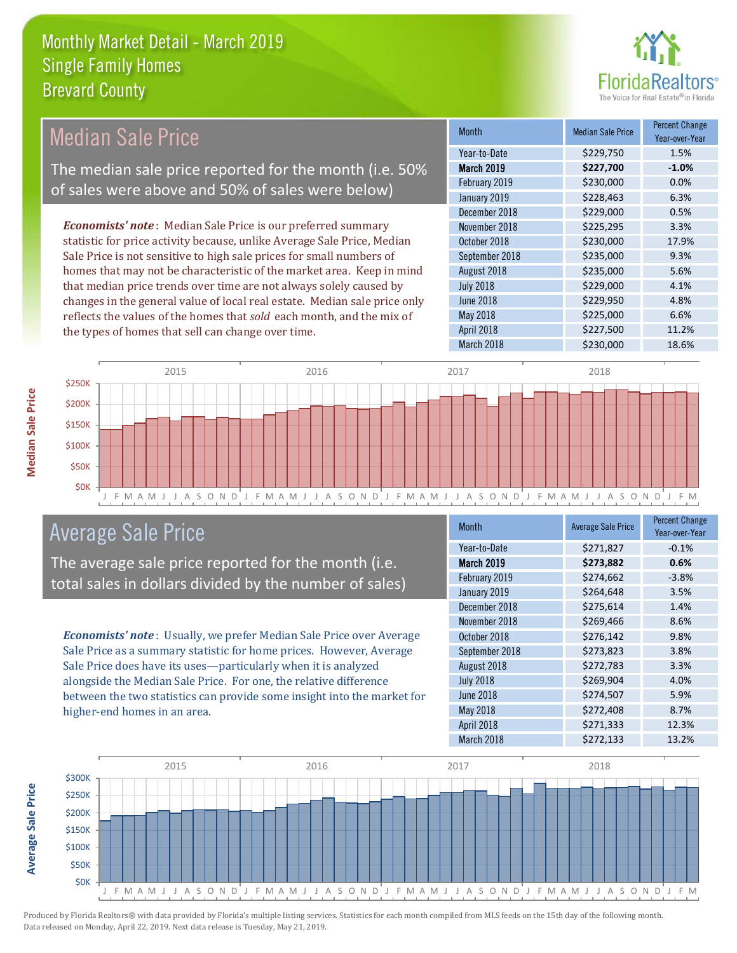

#### *Economists' note* : Median Sale Price is our preferred summary statistic for price activity because, unlike Average Sale Price, Median Sale Price is not sensitive to high sale prices for small numbers of homes that may not be characteristic of the market area. Keep in mind that median price trends over time are not always solely caused by changes in the general value of local real estate. Median sale price only reflects the values of the homes that *sold* each month, and the mix of the types of homes that sell can change over time. March 2018 \$230,000 18.6% May 2018 **6.6%** \$225,000 6.6% April 2018 **\$227,500** 11.2% July 2018 **\$229,000** \$2.29,000 4.1% June 2018 **\$229,950** 4.8% \$229,000 0.5% November 2018 **\$225,295** 3.3% August 2018 **\$235,000** 5.6% February 2019 \$230,000 0.0% January 2019 **\$228,463** 6.3% October 2018 **\$230,000** 17.9% September 2018 **\$235,000** 9.3% December 2018 Month Median Sale Price Percent Change Year-over-Year March 2019 **\$227,700 -1.0%** Year-to-Date \$229,750 1.5% \$250K 2015 2016 2017 2018 Median Sale Price The median sale price reported for the month (i.e. 50% of sales were above and 50% of sales were below)



## Average Sale Price

The average sale price reported for the month (i.e. total sales in dollars divided by the number of sales)

*Economists' note* : Usually, we prefer Median Sale Price over Average Sale Price as a summary statistic for home prices. However, Average Sale Price does have its uses—particularly when it is analyzed alongside the Median Sale Price. For one, the relative difference between the two statistics can provide some insight into the market for higher-end homes in an area.

| Month            | <b>Average Sale Price</b> | <b>Percent Change</b><br>Year-over-Year |
|------------------|---------------------------|-----------------------------------------|
| Year-to-Date     | \$271,827                 | $-0.1%$                                 |
| March 2019       | \$273,882                 | 0.6%                                    |
| February 2019    | \$274,662                 | $-3.8%$                                 |
| January 2019     | \$264,648                 | 3.5%                                    |
| December 2018    | \$275,614                 | 1.4%                                    |
| November 2018    | \$269,466                 | 8.6%                                    |
| October 2018     | \$276,142                 | 9.8%                                    |
| September 2018   | \$273,823                 | 3.8%                                    |
| August 2018      | \$272,783                 | 3.3%                                    |
| <b>July 2018</b> | \$269,904                 | 4.0%                                    |
| <b>June 2018</b> | \$274,507                 | 5.9%                                    |
| May 2018         | \$272,408                 | 8.7%                                    |
| April 2018       | \$271,333                 | 12.3%                                   |
| March 2018       | \$272,133                 | 13.2%                                   |



**Median Sale Price**

**Median Sale Price**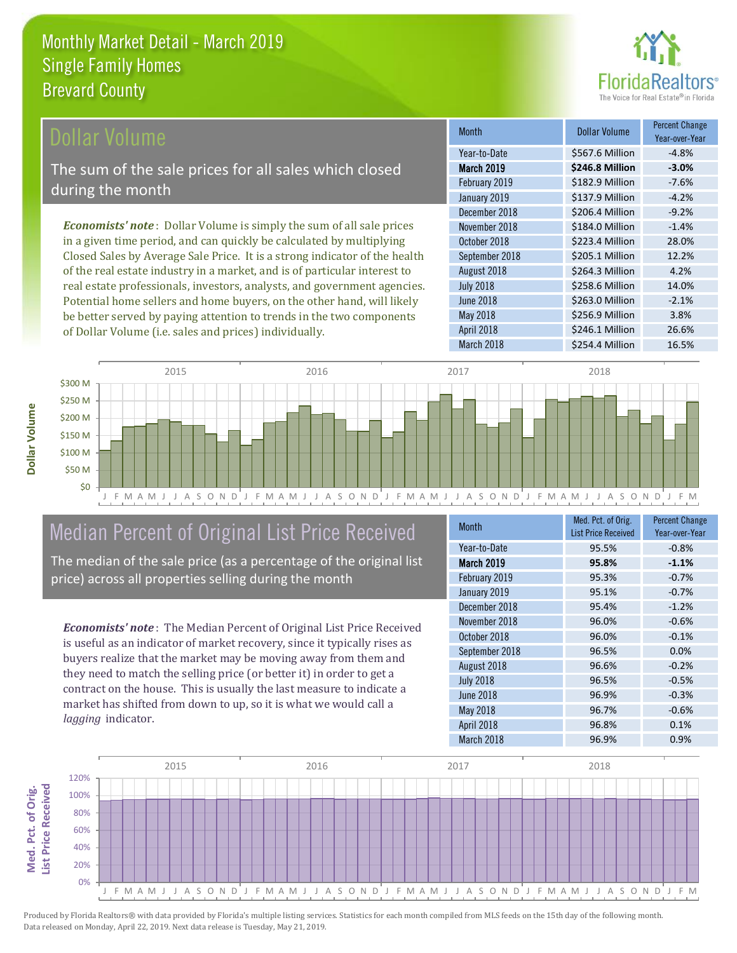

### ollar Volume

The sum of the sale prices for all sales which closed during the month

*Economists' note* : Dollar Volume is simply the sum of all sale prices in a given time period, and can quickly be calculated by multiplying Closed Sales by Average Sale Price. It is a strong indicator of the health of the real estate industry in a market, and is of particular interest to real estate professionals, investors, analysts, and government agencies. Potential home sellers and home buyers, on the other hand, will likely be better served by paying attention to trends in the two components of Dollar Volume (i.e. sales and prices) individually.

| <b>Month</b>      | Dollar Volume   | <b>Percent Change</b><br>Year-over-Year |
|-------------------|-----------------|-----------------------------------------|
| Year-to-Date      | \$567.6 Million | $-4.8%$                                 |
| <b>March 2019</b> | \$246.8 Million | $-3.0%$                                 |
| February 2019     | \$182.9 Million | $-7.6%$                                 |
| January 2019      | \$137.9 Million | $-4.2%$                                 |
| December 2018     | \$206.4 Million | $-9.2%$                                 |
| November 2018     | \$184.0 Million | $-1.4%$                                 |
| October 2018      | \$223.4 Million | 28.0%                                   |
| September 2018    | \$205.1 Million | 12.2%                                   |
| August 2018       | \$264.3 Million | 4.2%                                    |
| <b>July 2018</b>  | \$258.6 Million | 14.0%                                   |
| <b>June 2018</b>  | \$263.0 Million | $-2.1%$                                 |
| May 2018          | \$256.9 Million | 3.8%                                    |
| April 2018        | \$246.1 Million | 26.6%                                   |
| March 2018        | \$254.4 Million | 16.5%                                   |



# Median Percent of Original List Price Received

The median of the sale price (as a percentage of the original list price) across all properties selling during the month

*Economists' note* : The Median Percent of Original List Price Received is useful as an indicator of market recovery, since it typically rises as buyers realize that the market may be moving away from them and they need to match the selling price (or better it) in order to get a contract on the house. This is usually the last measure to indicate a market has shifted from down to up, so it is what we would call a *lagging* indicator.

| <b>Month</b>      | Med. Pct. of Orig.<br><b>List Price Received</b> | <b>Percent Change</b><br>Year-over-Year |
|-------------------|--------------------------------------------------|-----------------------------------------|
| Year-to-Date      | 95.5%                                            | $-0.8%$                                 |
| <b>March 2019</b> | 95.8%                                            | $-1.1%$                                 |
| February 2019     | 95.3%                                            | $-0.7%$                                 |
| January 2019      | 95.1%                                            | $-0.7%$                                 |
| December 2018     | 95.4%                                            | $-1.2%$                                 |
| November 2018     | 96.0%                                            | $-0.6%$                                 |
| October 2018      | 96.0%                                            | $-0.1%$                                 |
| September 2018    | 96.5%                                            | 0.0%                                    |
| August 2018       | 96.6%                                            | $-0.2%$                                 |
| <b>July 2018</b>  | 96.5%                                            | $-0.5%$                                 |
| <b>June 2018</b>  | 96.9%                                            | $-0.3%$                                 |
| May 2018          | 96.7%                                            | $-0.6%$                                 |
| April 2018        | 96.8%                                            | 0.1%                                    |
| March 2018        | 96.9%                                            | 0.9%                                    |



Produced by Florida Realtors® with data provided by Florida's multiple listing services. Statistics for each month compiled from MLS feeds on the 15th day of the following month. Data released on Monday, April 22, 2019. Next data release is Tuesday, May 21, 2019.

**Med. Pct. of Orig.** 

Med. Pct. of Orig.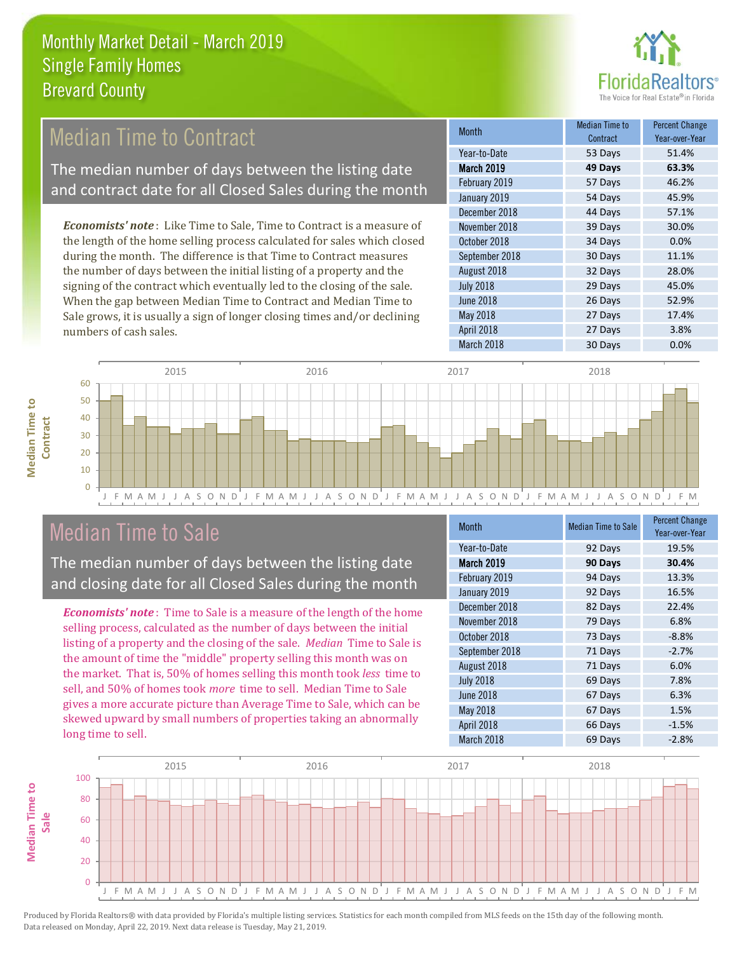

## Median Time to Contract

The median number of days between the listing date and contract date for all Closed Sales during the month

*Economists' note* : Like Time to Sale, Time to Contract is a measure of the length of the home selling process calculated for sales which closed during the month. The difference is that Time to Contract measures the number of days between the initial listing of a property and the signing of the contract which eventually led to the closing of the sale. When the gap between Median Time to Contract and Median Time to Sale grows, it is usually a sign of longer closing times and/or declining numbers of cash sales.

| Month             | Median Time to<br>Contract | <b>Percent Change</b><br>Year-over-Year |
|-------------------|----------------------------|-----------------------------------------|
| Year-to-Date      | 53 Days                    | 51.4%                                   |
| <b>March 2019</b> | 49 Days                    | 63.3%                                   |
| February 2019     | 57 Days                    | 46.2%                                   |
| January 2019      | 54 Days                    | 45.9%                                   |
| December 2018     | 44 Days                    | 57.1%                                   |
| November 2018     | 39 Days                    | 30.0%                                   |
| October 2018      | 34 Days                    | 0.0%                                    |
| September 2018    | 30 Days                    | 11.1%                                   |
| August 2018       | 32 Days                    | 28.0%                                   |
| <b>July 2018</b>  | 29 Days                    | 45.0%                                   |
| <b>June 2018</b>  | 26 Days                    | 52.9%                                   |
| May 2018          | 27 Days                    | 17.4%                                   |
| April 2018        | 27 Days                    | 3.8%                                    |
| March 2018        | 30 Days                    | 0.0%                                    |



## Median Time to Sale

**Median Time to** 

**Median Time to** 

The median number of days between the listing date and closing date for all Closed Sales during the month

*Economists' note* : Time to Sale is a measure of the length of the home selling process, calculated as the number of days between the initial listing of a property and the closing of the sale. *Median* Time to Sale is the amount of time the "middle" property selling this month was on the market. That is, 50% of homes selling this month took *less* time to sell, and 50% of homes took *more* time to sell. Median Time to Sale gives a more accurate picture than Average Time to Sale, which can be skewed upward by small numbers of properties taking an abnormally long time to sell.

| <b>Month</b>      | <b>Median Time to Sale</b> | <b>Percent Change</b><br>Year-over-Year |
|-------------------|----------------------------|-----------------------------------------|
| Year-to-Date      | 92 Days                    | 19.5%                                   |
| <b>March 2019</b> | 90 Days                    | 30.4%                                   |
| February 2019     | 94 Days                    | 13.3%                                   |
| January 2019      | 92 Days                    | 16.5%                                   |
| December 2018     | 82 Days                    | 22.4%                                   |
| November 2018     | 79 Days                    | 6.8%                                    |
| October 2018      | 73 Days                    | $-8.8%$                                 |
| September 2018    | 71 Days                    | $-2.7%$                                 |
| August 2018       | 71 Days                    | 6.0%                                    |
| <b>July 2018</b>  | 69 Days                    | 7.8%                                    |
| <b>June 2018</b>  | 67 Days                    | 6.3%                                    |
| May 2018          | 67 Days                    | 1.5%                                    |
| April 2018        | 66 Days                    | $-1.5%$                                 |
| March 2018        | 69 Days                    | $-2.8%$                                 |

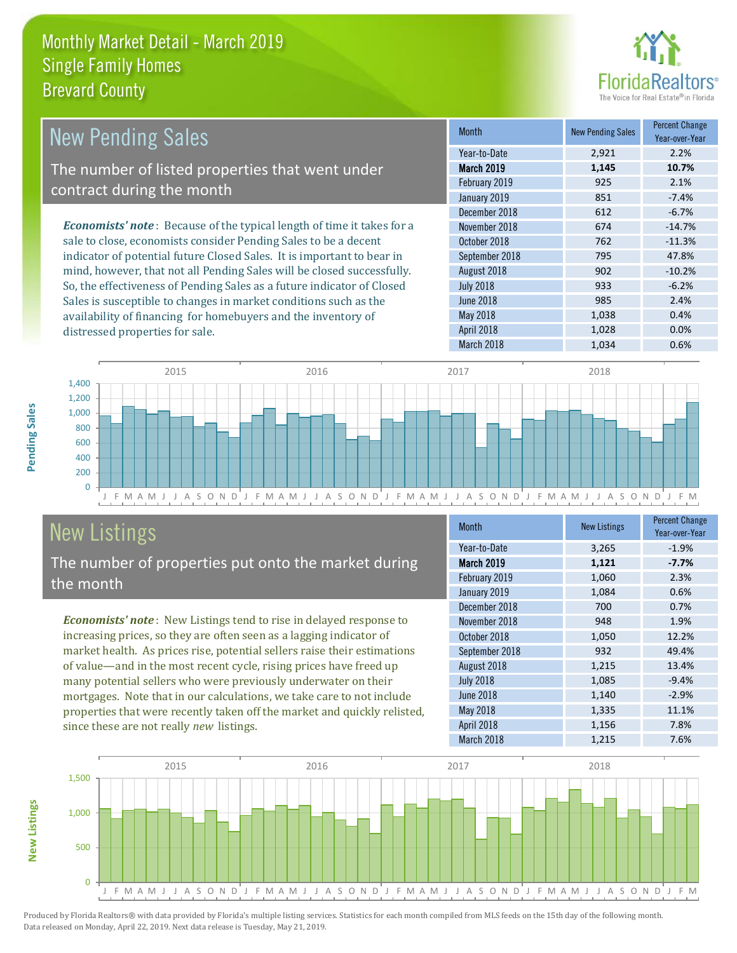distressed properties for sale.



| New Pending Sales                                                             | <b>Month</b>      | <b>New Pending Sales</b> | <b>Percent Change</b><br>Year-over-Year |
|-------------------------------------------------------------------------------|-------------------|--------------------------|-----------------------------------------|
|                                                                               | Year-to-Date      | 2,921                    | 2.2%                                    |
| The number of listed properties that went under                               | <b>March 2019</b> | 1.145                    | 10.7%                                   |
| contract during the month                                                     | February 2019     | 925                      | 2.1%                                    |
|                                                                               | January 2019      | 851                      | $-7.4%$                                 |
|                                                                               | December 2018     | 612                      | $-6.7%$                                 |
| <b>Economists' note:</b> Because of the typical length of time it takes for a | November 2018     | 674                      | $-14.7%$                                |
| sale to close, economists consider Pending Sales to be a decent               | October 2018      | 762                      | $-11.3%$                                |
| indicator of potential future Closed Sales. It is important to bear in        | September 2018    | 795                      | 47.8%                                   |
| mind, however, that not all Pending Sales will be closed successfully.        | August 2018       | 902                      | $-10.2%$                                |
| So, the effectiveness of Pending Sales as a future indicator of Closed        | <b>July 2018</b>  | 933                      | $-6.2%$                                 |
| Sales is susceptible to changes in market conditions such as the              | June 2018         | 985                      | 2.4%                                    |



# New Listings The number of properties put onto the market during

availability of financing for homebuyers and the inventory of

*Economists' note* : New Listings tend to rise in delayed response to increasing prices, so they are often seen as a lagging indicator of market health. As prices rise, potential sellers raise their estimations of value—and in the most recent cycle, rising prices have freed up many potential sellers who were previously underwater on their mortgages. Note that in our calculations, we take care to not include properties that were recently taken off the market and quickly relisted, since these are not really *new* listings.

| <b>Month</b>     | <b>New Listings</b> | <b>Percent Change</b><br>Year-over-Year |
|------------------|---------------------|-----------------------------------------|
| Year-to-Date     | 3,265               | $-1.9%$                                 |
| March 2019       | 1,121               | $-7.7%$                                 |
| February 2019    | 1,060               | 2.3%                                    |
| January 2019     | 1,084               | 0.6%                                    |
| December 2018    | 700                 | 0.7%                                    |
| November 2018    | 948                 | 1.9%                                    |
| October 2018     | 1,050               | 12.2%                                   |
| September 2018   | 932                 | 49.4%                                   |
| August 2018      | 1,215               | 13.4%                                   |
| <b>July 2018</b> | 1,085               | $-9.4%$                                 |
| <b>June 2018</b> | 1,140               | $-2.9%$                                 |
| May 2018         | 1,335               | 11.1%                                   |
| April 2018       | 1,156               | 7.8%                                    |
| March 2018       | 1,215               | 7.6%                                    |

March 2018 1,034 0.6%

May 2018 1,038 0.4% April 2018 1,028 0.0%



the month

**New Listings**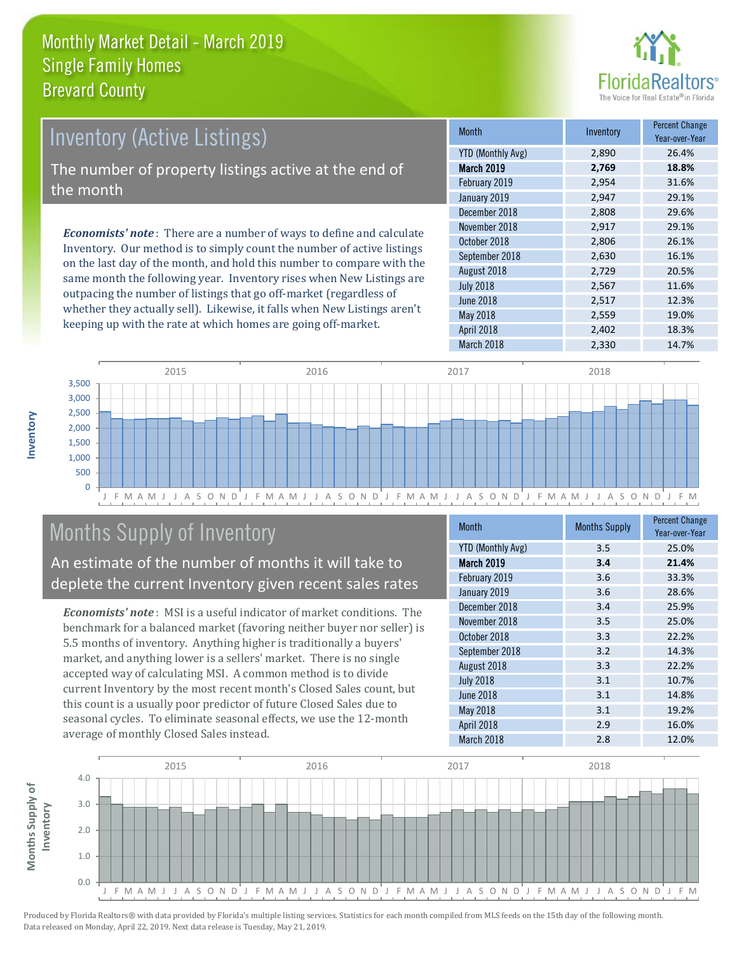

# *Economists' note* : There are a number of ways to define and calculate Inventory (Active Listings) The number of property listings active at the end of the month

Inventory. Our method is to simply count the number of active listings on the last day of the month, and hold this number to compare with the same month the following year. Inventory rises when New Listings are outpacing the number of listings that go off-market (regardless of whether they actually sell). Likewise, it falls when New Listings aren't keeping up with the rate at which homes are going off-market.

| <b>Month</b>             | Inventory | <b>Percent Change</b><br>Year-over-Year |
|--------------------------|-----------|-----------------------------------------|
| <b>YTD (Monthly Avg)</b> | 2,890     | 26.4%                                   |
| March 2019               | 2,769     | 18.8%                                   |
| February 2019            | 2,954     | 31.6%                                   |
| January 2019             | 2,947     | 29.1%                                   |
| December 2018            | 2,808     | 29.6%                                   |
| November 2018            | 2,917     | 29.1%                                   |
| October 2018             | 2,806     | 26.1%                                   |
| September 2018           | 2,630     | 16.1%                                   |
| August 2018              | 2,729     | 20.5%                                   |
| <b>July 2018</b>         | 2,567     | 11.6%                                   |
| <b>June 2018</b>         | 2,517     | 12.3%                                   |
| May 2018                 | 2,559     | 19.0%                                   |
| April 2018               | 2,402     | 18.3%                                   |
| March 2018               | 2,330     | 14.7%                                   |



# Months Supply of Inventory

An estimate of the number of months it will take to deplete the current Inventory given recent sales rates

*Economists' note* : MSI is a useful indicator of market conditions. The benchmark for a balanced market (favoring neither buyer nor seller) is 5.5 months of inventory. Anything higher is traditionally a buyers' market, and anything lower is a sellers' market. There is no single accepted way of calculating MSI. A common method is to divide current Inventory by the most recent month's Closed Sales count, but this count is a usually poor predictor of future Closed Sales due to seasonal cycles. To eliminate seasonal effects, we use the 12-month average of monthly Closed Sales instead.

| <b>Month</b>             | <b>Months Supply</b> | <b>Percent Change</b><br>Year-over-Year |
|--------------------------|----------------------|-----------------------------------------|
| <b>YTD (Monthly Avg)</b> | 3.5                  | 25.0%                                   |
| March 2019               | 3.4                  | 21.4%                                   |
| February 2019            | 3.6                  | 33.3%                                   |
| January 2019             | 3.6                  | 28.6%                                   |
| December 2018            | 3.4                  | 25.9%                                   |
| November 2018            | 3.5                  | 25.0%                                   |
| October 2018             | 3.3                  | 22.2%                                   |
| September 2018           | 3.2                  | 14.3%                                   |
| August 2018              | 3.3                  | 22.2%                                   |
| <b>July 2018</b>         | 3.1                  | 10.7%                                   |
| June 2018                | 3.1                  | 14.8%                                   |
| May 2018                 | 3.1                  | 19.2%                                   |
| April 2018               | 2.9                  | 16.0%                                   |
| March 2018               | 2.8                  | 12.0%                                   |



**Inventory**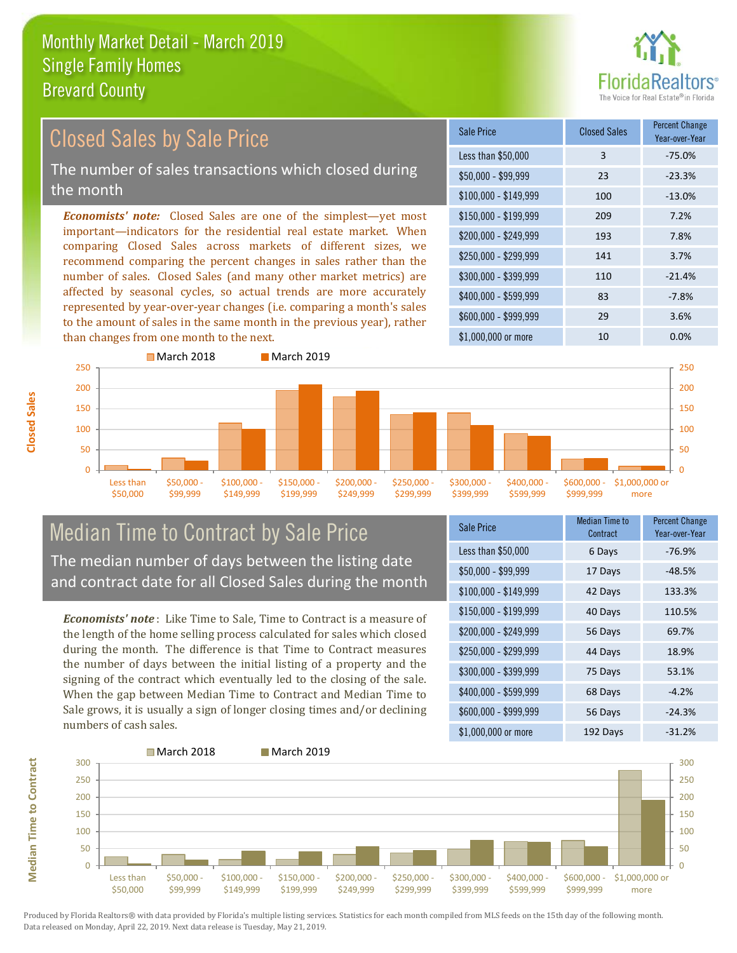

#### \$100,000 - \$149,999 100 -13.0% Sale Price Closed Sales Percent Change Year-over-Year Less than \$50,000 3 -75.0%  $$50,000 - $99,999$  23 -23.3% \$150,000 - \$199,999 209 7.2% \$200,000 - \$249,999 193 7.8% \$400,000 - \$599,999 83 -7.8% \$600,000 - \$999,999 29 3.6% *Economists' note:* Closed Sales are one of the simplest—yet most important—indicators for the residential real estate market. When comparing Closed Sales across markets of different sizes, we recommend comparing the percent changes in sales rather than the number of sales. Closed Sales (and many other market metrics) are affected by seasonal cycles, so actual trends are more accurately represented by year-over-year changes (i.e. comparing a month's sales to the amount of sales in the same month in the previous year), rather than changes from one month to the next. \$1,000,000 or more 10 10 0.0% \$250,000 - \$299,999 141 3.7% \$300,000 - \$399,999 110 -21.4% Closed Sales by Sale Price The number of sales transactions which closed during the month



## Median Time to Contract by Sale Price The median number of days between the listing date and contract date for all Closed Sales during the month

*Economists' note* : Like Time to Sale, Time to Contract is a measure of the length of the home selling process calculated for sales which closed during the month. The difference is that Time to Contract measures the number of days between the initial listing of a property and the signing of the contract which eventually led to the closing of the sale. When the gap between Median Time to Contract and Median Time to Sale grows, it is usually a sign of longer closing times and/or declining numbers of cash sales.

| <b>Sale Price</b>     | <b>Median Time to</b><br>Contract | <b>Percent Change</b><br>Year-over-Year |
|-----------------------|-----------------------------------|-----------------------------------------|
| Less than \$50,000    | 6 Days                            | $-76.9%$                                |
| $$50,000 - $99,999$   | 17 Days                           | $-48.5%$                                |
| $$100,000 - $149,999$ | 42 Days                           | 133.3%                                  |
| $$150,000 - $199,999$ | 40 Days                           | 110.5%                                  |
| \$200,000 - \$249,999 | 56 Days                           | 69.7%                                   |
| \$250,000 - \$299,999 | 44 Days                           | 18.9%                                   |
| \$300,000 - \$399,999 | 75 Days                           | 53.1%                                   |
| \$400,000 - \$599,999 | 68 Days                           | $-4.2%$                                 |
| \$600,000 - \$999,999 | 56 Days                           | $-24.3%$                                |
| \$1,000,000 or more   | 192 Days                          | $-31.2%$                                |



**Closed Sales**

**Median Time to Contract Median Time to Contract**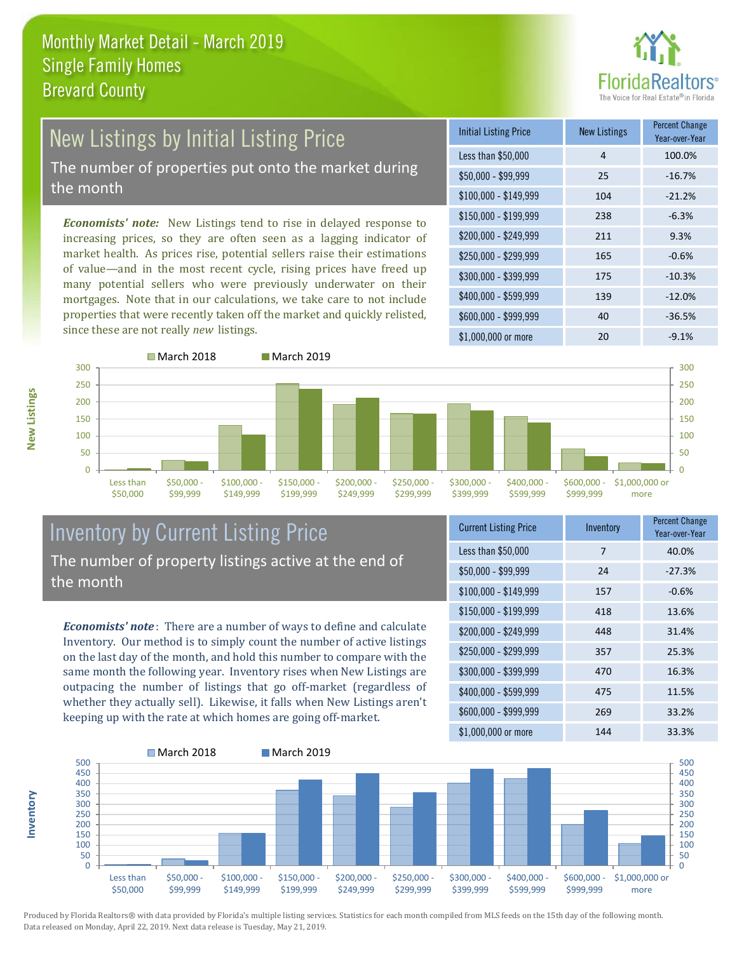

# New Listings by Initial Listing Price The number of properties put onto the market during

the month

*Economists' note:* New Listings tend to rise in delayed response to increasing prices, so they are often seen as a lagging indicator of market health. As prices rise, potential sellers raise their estimations of value—and in the most recent cycle, rising prices have freed up many potential sellers who were previously underwater on their mortgages. Note that in our calculations, we take care to not include properties that were recently taken off the market and quickly relisted, since these are not really *new* listings.

| <b>Initial Listing Price</b> | <b>New Listings</b> | <b>Percent Change</b><br>Year-over-Year |
|------------------------------|---------------------|-----------------------------------------|
| Less than \$50,000           | 4                   | 100.0%                                  |
| $$50,000 - $99,999$          | 25                  | $-16.7%$                                |
| $$100,000 - $149,999$        | 104                 | $-21.2%$                                |
| $$150,000 - $199,999$        | 238                 | $-6.3%$                                 |
| \$200,000 - \$249,999        | 211                 | 9.3%                                    |
| \$250,000 - \$299,999        | 165                 | $-0.6%$                                 |
| \$300,000 - \$399,999        | 175                 | $-10.3%$                                |
| \$400,000 - \$599,999        | 139                 | $-12.0%$                                |
| \$600,000 - \$999,999        | 40                  | $-36.5%$                                |
| \$1,000,000 or more          | 20                  | $-9.1%$                                 |



### Inventory by Current Listing Price The number of property listings active at the end of the month

*Economists' note* : There are a number of ways to define and calculate Inventory. Our method is to simply count the number of active listings on the last day of the month, and hold this number to compare with the same month the following year. Inventory rises when New Listings are outpacing the number of listings that go off-market (regardless of whether they actually sell). Likewise, it falls when New Listings aren't keeping up with the rate at which homes are going off-market.

| <b>Current Listing Price</b> | Inventory | Percent Change<br>Year-over-Year |
|------------------------------|-----------|----------------------------------|
| Less than \$50,000           | 7         | 40.0%                            |
| $$50,000 - $99,999$          | 24        | $-27.3%$                         |
| $$100,000 - $149,999$        | 157       | $-0.6%$                          |
| $$150,000 - $199,999$        | 418       | 13.6%                            |
| \$200,000 - \$249,999        | 448       | 31.4%                            |
| \$250,000 - \$299,999        | 357       | 25.3%                            |
| \$300,000 - \$399,999        | 470       | 16.3%                            |
| \$400,000 - \$599,999        | 475       | 11.5%                            |
| \$600,000 - \$999,999        | 269       | 33.2%                            |
| \$1,000,000 or more          | 144       | 33.3%                            |



Produced by Florida Realtors® with data provided by Florida's multiple listing services. Statistics for each month compiled from MLS feeds on the 15th day of the following month. Data released on Monday, April 22, 2019. Next data release is Tuesday, May 21, 2019.

**Inventory**